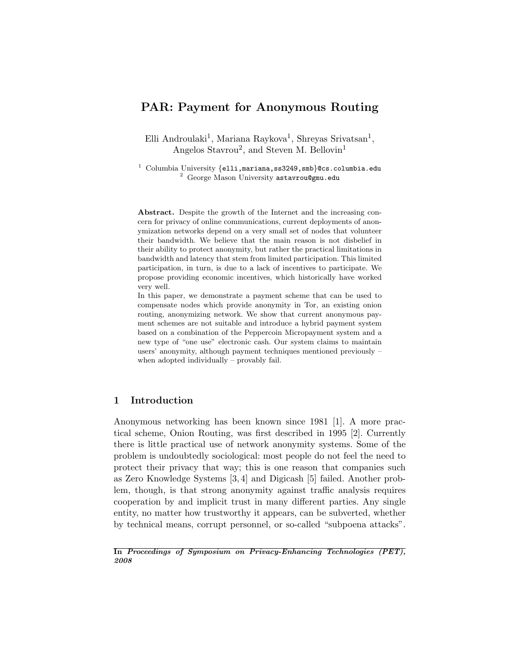# PAR: Payment for Anonymous Routing

Elli Androulaki<sup>1</sup>, Mariana Raykova<sup>1</sup>, Shreyas Srivatsan<sup>1</sup>, Angelos Stavrou<sup>2</sup>, and Steven M. Bellovin<sup>1</sup>

<sup>1</sup> Columbia University  $\{$ elli, mariana, ss3249, smb $\}$ @cs.columbia.edu <sup>2</sup> George Mason University astavrou@gmu.edu

Abstract. Despite the growth of the Internet and the increasing concern for privacy of online communications, current deployments of anonymization networks depend on a very small set of nodes that volunteer their bandwidth. We believe that the main reason is not disbelief in their ability to protect anonymity, but rather the practical limitations in bandwidth and latency that stem from limited participation. This limited participation, in turn, is due to a lack of incentives to participate. We propose providing economic incentives, which historically have worked very well.

In this paper, we demonstrate a payment scheme that can be used to compensate nodes which provide anonymity in Tor, an existing onion routing, anonymizing network. We show that current anonymous payment schemes are not suitable and introduce a hybrid payment system based on a combination of the Peppercoin Micropayment system and a new type of "one use" electronic cash. Our system claims to maintain users' anonymity, although payment techniques mentioned previously – when adopted individually – provably fail.

### 1 Introduction

Anonymous networking has been known since 1981 [1]. A more practical scheme, Onion Routing, was first described in 1995 [2]. Currently there is little practical use of network anonymity systems. Some of the problem is undoubtedly sociological: most people do not feel the need to protect their privacy that way; this is one reason that companies such as Zero Knowledge Systems [3, 4] and Digicash [5] failed. Another problem, though, is that strong anonymity against traffic analysis requires cooperation by and implicit trust in many different parties. Any single entity, no matter how trustworthy it appears, can be subverted, whether by technical means, corrupt personnel, or so-called "subpoena attacks".

In Proceedings of Symposium on Privacy-Enhancing Technologies (PET), 2008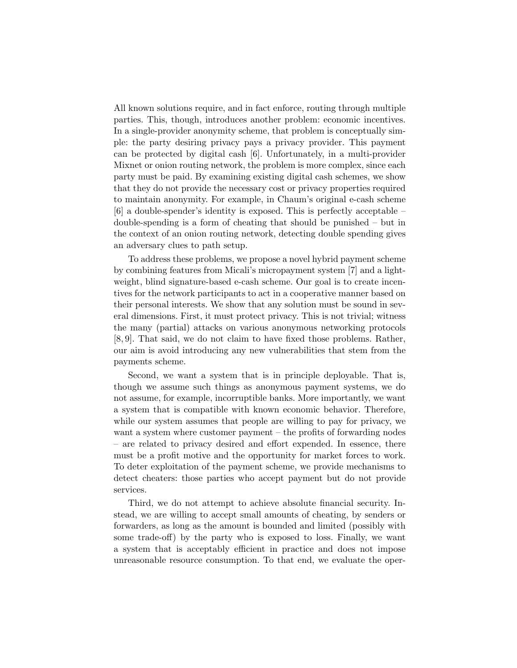All known solutions require, and in fact enforce, routing through multiple parties. This, though, introduces another problem: economic incentives. In a single-provider anonymity scheme, that problem is conceptually simple: the party desiring privacy pays a privacy provider. This payment can be protected by digital cash [6]. Unfortunately, in a multi-provider Mixnet or onion routing network, the problem is more complex, since each party must be paid. By examining existing digital cash schemes, we show that they do not provide the necessary cost or privacy properties required to maintain anonymity. For example, in Chaum's original e-cash scheme [6] a double-spender's identity is exposed. This is perfectly acceptable – double-spending is a form of cheating that should be punished – but in the context of an onion routing network, detecting double spending gives an adversary clues to path setup.

To address these problems, we propose a novel hybrid payment scheme by combining features from Micali's micropayment system [7] and a lightweight, blind signature-based e-cash scheme. Our goal is to create incentives for the network participants to act in a cooperative manner based on their personal interests. We show that any solution must be sound in several dimensions. First, it must protect privacy. This is not trivial; witness the many (partial) attacks on various anonymous networking protocols [8, 9]. That said, we do not claim to have fixed those problems. Rather, our aim is avoid introducing any new vulnerabilities that stem from the payments scheme.

Second, we want a system that is in principle deployable. That is, though we assume such things as anonymous payment systems, we do not assume, for example, incorruptible banks. More importantly, we want a system that is compatible with known economic behavior. Therefore, while our system assumes that people are willing to pay for privacy, we want a system where customer payment – the profits of forwarding nodes – are related to privacy desired and effort expended. In essence, there must be a profit motive and the opportunity for market forces to work. To deter exploitation of the payment scheme, we provide mechanisms to detect cheaters: those parties who accept payment but do not provide services.

Third, we do not attempt to achieve absolute financial security. Instead, we are willing to accept small amounts of cheating, by senders or forwarders, as long as the amount is bounded and limited (possibly with some trade-off) by the party who is exposed to loss. Finally, we want a system that is acceptably efficient in practice and does not impose unreasonable resource consumption. To that end, we evaluate the oper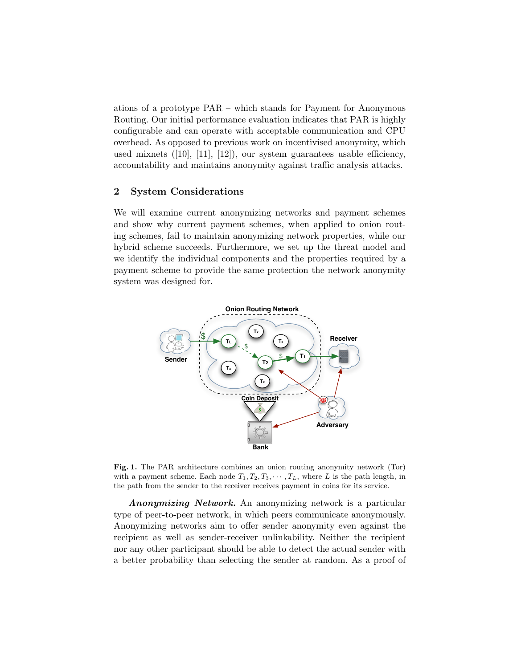ations of a prototype PAR – which stands for Payment for Anonymous Routing. Our initial performance evaluation indicates that PAR is highly configurable and can operate with acceptable communication and CPU overhead. As opposed to previous work on incentivised anonymity, which used mixnets ([10], [11], [12]), our system guarantees usable efficiency, accountability and maintains anonymity against traffic analysis attacks.

#### 2 System Considerations

We will examine current anonymizing networks and payment schemes and show why current payment schemes, when applied to onion routing schemes, fail to maintain anonymizing network properties, while our hybrid scheme succeeds. Furthermore, we set up the threat model and we identify the individual components and the properties required by a payment scheme to provide the same protection the network anonymity system was designed for.



Fig. 1. The PAR architecture combines an onion routing anonymity network (Tor) with a payment scheme. Each node  $T_1, T_2, T_3, \cdots, T_L$ , where L is the path length, in the path from the sender to the receiver receives payment in coins for its service.

Anonymizing Network. An anonymizing network is a particular type of peer-to-peer network, in which peers communicate anonymously. Anonymizing networks aim to offer sender anonymity even against the recipient as well as sender-receiver unlinkability. Neither the recipient nor any other participant should be able to detect the actual sender with a better probability than selecting the sender at random. As a proof of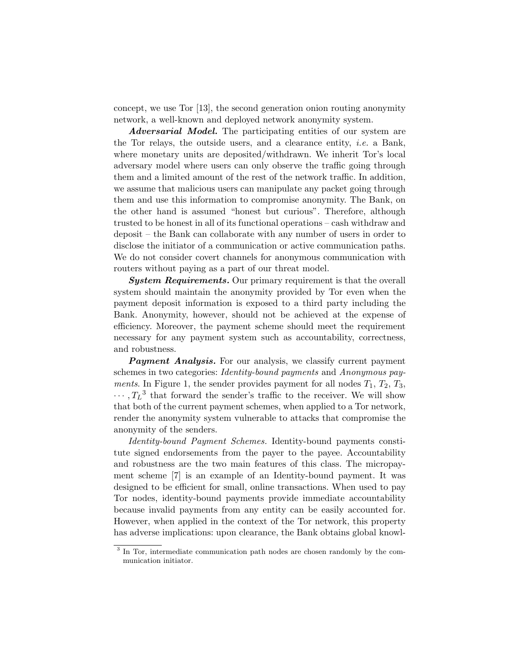concept, we use Tor [13], the second generation onion routing anonymity network, a well-known and deployed network anonymity system.

Adversarial Model. The participating entities of our system are the Tor relays, the outside users, and a clearance entity, *i.e.* a Bank, where monetary units are deposited/withdrawn. We inherit Tor's local adversary model where users can only observe the traffic going through them and a limited amount of the rest of the network traffic. In addition, we assume that malicious users can manipulate any packet going through them and use this information to compromise anonymity. The Bank, on the other hand is assumed "honest but curious". Therefore, although trusted to be honest in all of its functional operations – cash withdraw and deposit – the Bank can collaborate with any number of users in order to disclose the initiator of a communication or active communication paths. We do not consider covert channels for anonymous communication with routers without paying as a part of our threat model.

**System Requirements.** Our primary requirement is that the overall system should maintain the anonymity provided by Tor even when the payment deposit information is exposed to a third party including the Bank. Anonymity, however, should not be achieved at the expense of efficiency. Moreover, the payment scheme should meet the requirement necessary for any payment system such as accountability, correctness, and robustness.

Payment Analysis. For our analysis, we classify current payment schemes in two categories: *Identity-bound payments* and *Anonymous pay*ments. In Figure 1, the sender provides payment for all nodes  $T_1, T_2, T_3$ ,  $\cdots$ ,  $T_L^3$  that forward the sender's traffic to the receiver. We will show that both of the current payment schemes, when applied to a Tor network, render the anonymity system vulnerable to attacks that compromise the anonymity of the senders.

Identity-bound Payment Schemes. Identity-bound payments constitute signed endorsements from the payer to the payee. Accountability and robustness are the two main features of this class. The micropayment scheme [7] is an example of an Identity-bound payment. It was designed to be efficient for small, online transactions. When used to pay Tor nodes, identity-bound payments provide immediate accountability because invalid payments from any entity can be easily accounted for. However, when applied in the context of the Tor network, this property has adverse implications: upon clearance, the Bank obtains global knowl-

<sup>&</sup>lt;sup>3</sup> In Tor, intermediate communication path nodes are chosen randomly by the communication initiator.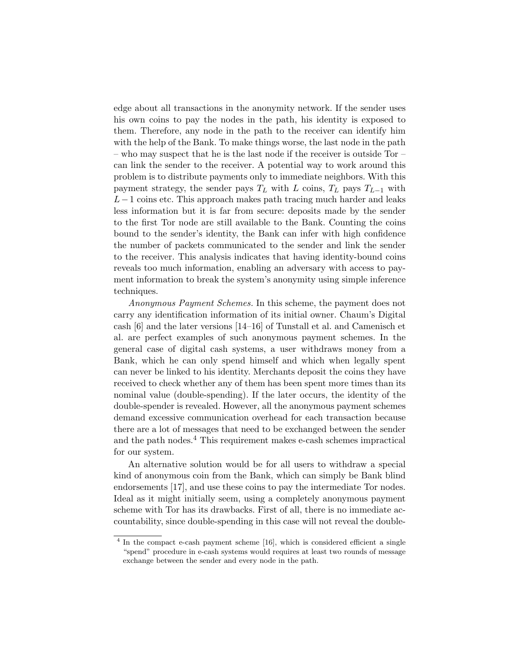edge about all transactions in the anonymity network. If the sender uses his own coins to pay the nodes in the path, his identity is exposed to them. Therefore, any node in the path to the receiver can identify him with the help of the Bank. To make things worse, the last node in the path – who may suspect that he is the last node if the receiver is outside Tor – can link the sender to the receiver. A potential way to work around this problem is to distribute payments only to immediate neighbors. With this payment strategy, the sender pays  $T_L$  with L coins,  $T_L$  pays  $T_{L-1}$  with  $L-1$  coins etc. This approach makes path tracing much harder and leaks less information but it is far from secure: deposits made by the sender to the first Tor node are still available to the Bank. Counting the coins bound to the sender's identity, the Bank can infer with high confidence the number of packets communicated to the sender and link the sender to the receiver. This analysis indicates that having identity-bound coins reveals too much information, enabling an adversary with access to payment information to break the system's anonymity using simple inference techniques.

Anonymous Payment Schemes. In this scheme, the payment does not carry any identification information of its initial owner. Chaum's Digital cash [6] and the later versions [14–16] of Tunstall et al. and Camenisch et al. are perfect examples of such anonymous payment schemes. In the general case of digital cash systems, a user withdraws money from a Bank, which he can only spend himself and which when legally spent can never be linked to his identity. Merchants deposit the coins they have received to check whether any of them has been spent more times than its nominal value (double-spending). If the later occurs, the identity of the double-spender is revealed. However, all the anonymous payment schemes demand excessive communication overhead for each transaction because there are a lot of messages that need to be exchanged between the sender and the path nodes.<sup>4</sup> This requirement makes e-cash schemes impractical for our system.

An alternative solution would be for all users to withdraw a special kind of anonymous coin from the Bank, which can simply be Bank blind endorsements [17], and use these coins to pay the intermediate Tor nodes. Ideal as it might initially seem, using a completely anonymous payment scheme with Tor has its drawbacks. First of all, there is no immediate accountability, since double-spending in this case will not reveal the double-

<sup>&</sup>lt;sup>4</sup> In the compact e-cash payment scheme [16], which is considered efficient a single "spend" procedure in e-cash systems would requires at least two rounds of message exchange between the sender and every node in the path.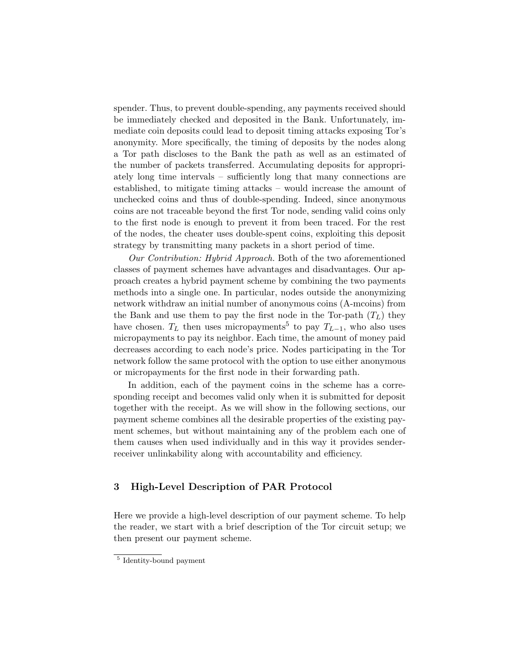spender. Thus, to prevent double-spending, any payments received should be immediately checked and deposited in the Bank. Unfortunately, immediate coin deposits could lead to deposit timing attacks exposing Tor's anonymity. More specifically, the timing of deposits by the nodes along a Tor path discloses to the Bank the path as well as an estimated of the number of packets transferred. Accumulating deposits for appropriately long time intervals – sufficiently long that many connections are established, to mitigate timing attacks – would increase the amount of unchecked coins and thus of double-spending. Indeed, since anonymous coins are not traceable beyond the first Tor node, sending valid coins only to the first node is enough to prevent it from been traced. For the rest of the nodes, the cheater uses double-spent coins, exploiting this deposit strategy by transmitting many packets in a short period of time.

Our Contribution: Hybrid Approach. Both of the two aforementioned classes of payment schemes have advantages and disadvantages. Our approach creates a hybrid payment scheme by combining the two payments methods into a single one. In particular, nodes outside the anonymizing network withdraw an initial number of anonymous coins (A-mcoins) from the Bank and use them to pay the first node in the Tor-path  $(T_L)$  they have chosen.  $T_L$  then uses micropayments<sup>5</sup> to pay  $T_{L-1}$ , who also uses micropayments to pay its neighbor. Each time, the amount of money paid decreases according to each node's price. Nodes participating in the Tor network follow the same protocol with the option to use either anonymous or micropayments for the first node in their forwarding path.

In addition, each of the payment coins in the scheme has a corresponding receipt and becomes valid only when it is submitted for deposit together with the receipt. As we will show in the following sections, our payment scheme combines all the desirable properties of the existing payment schemes, but without maintaining any of the problem each one of them causes when used individually and in this way it provides senderreceiver unlinkability along with accountability and efficiency.

# 3 High-Level Description of PAR Protocol

Here we provide a high-level description of our payment scheme. To help the reader, we start with a brief description of the Tor circuit setup; we then present our payment scheme.

<sup>5</sup> Identity-bound payment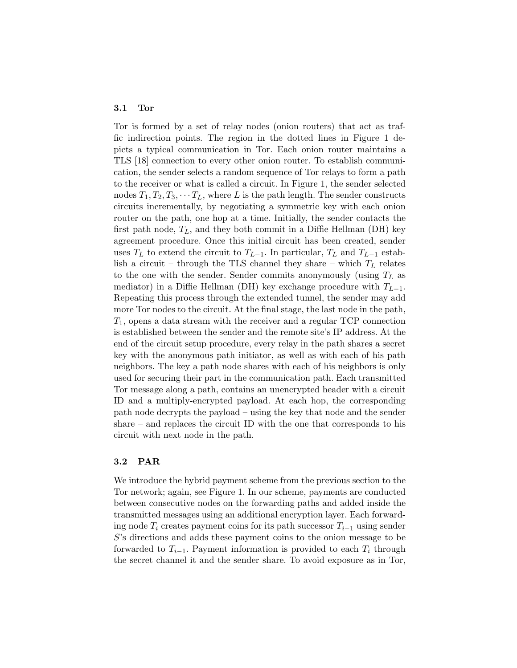#### 3.1 Tor

Tor is formed by a set of relay nodes (onion routers) that act as traffic indirection points. The region in the dotted lines in Figure 1 depicts a typical communication in Tor. Each onion router maintains a TLS [18] connection to every other onion router. To establish communication, the sender selects a random sequence of Tor relays to form a path to the receiver or what is called a circuit. In Figure 1, the sender selected nodes  $T_1, T_2, T_3, \cdots T_L$ , where L is the path length. The sender constructs circuits incrementally, by negotiating a symmetric key with each onion router on the path, one hop at a time. Initially, the sender contacts the first path node,  $T_L$ , and they both commit in a Diffie Hellman (DH) key agreement procedure. Once this initial circuit has been created, sender uses  $T<sub>L</sub>$  to extend the circuit to  $T<sub>L-1</sub>$ . In particular,  $T<sub>L</sub>$  and  $T<sub>L-1</sub>$  establish a circuit – through the TLS channel they share – which  $T_L$  relates to the one with the sender. Sender commits anonymously (using  $T_L$  as mediator) in a Diffie Hellman (DH) key exchange procedure with  $T_{L-1}$ . Repeating this process through the extended tunnel, the sender may add more Tor nodes to the circuit. At the final stage, the last node in the path,  $T_1$ , opens a data stream with the receiver and a regular TCP connection is established between the sender and the remote site's IP address. At the end of the circuit setup procedure, every relay in the path shares a secret key with the anonymous path initiator, as well as with each of his path neighbors. The key a path node shares with each of his neighbors is only used for securing their part in the communication path. Each transmitted Tor message along a path, contains an unencrypted header with a circuit ID and a multiply-encrypted payload. At each hop, the corresponding path node decrypts the payload – using the key that node and the sender share – and replaces the circuit ID with the one that corresponds to his circuit with next node in the path.

#### 3.2 PAR

We introduce the hybrid payment scheme from the previous section to the Tor network; again, see Figure 1. In our scheme, payments are conducted between consecutive nodes on the forwarding paths and added inside the transmitted messages using an additional encryption layer. Each forwarding node  $T_i$  creates payment coins for its path successor  $T_{i-1}$  using sender S's directions and adds these payment coins to the onion message to be forwarded to  $T_{i-1}$ . Payment information is provided to each  $T_i$  through the secret channel it and the sender share. To avoid exposure as in Tor,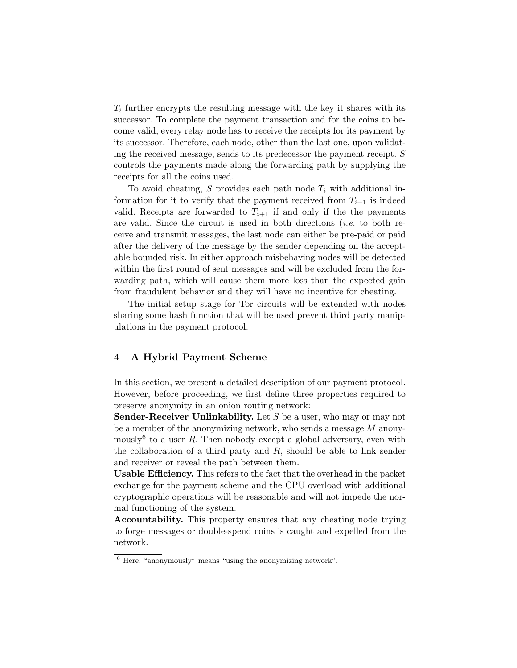$T_i$  further encrypts the resulting message with the key it shares with its successor. To complete the payment transaction and for the coins to become valid, every relay node has to receive the receipts for its payment by its successor. Therefore, each node, other than the last one, upon validating the received message, sends to its predecessor the payment receipt. S controls the payments made along the forwarding path by supplying the receipts for all the coins used.

To avoid cheating, S provides each path node  $T_i$  with additional information for it to verify that the payment received from  $T_{i+1}$  is indeed valid. Receipts are forwarded to  $T_{i+1}$  if and only if the the payments are valid. Since the circuit is used in both directions (i.e. to both receive and transmit messages, the last node can either be pre-paid or paid after the delivery of the message by the sender depending on the acceptable bounded risk. In either approach misbehaving nodes will be detected within the first round of sent messages and will be excluded from the forwarding path, which will cause them more loss than the expected gain from fraudulent behavior and they will have no incentive for cheating.

The initial setup stage for Tor circuits will be extended with nodes sharing some hash function that will be used prevent third party manipulations in the payment protocol.

# 4 A Hybrid Payment Scheme

In this section, we present a detailed description of our payment protocol. However, before proceeding, we first define three properties required to preserve anonymity in an onion routing network:

Sender-Receiver Unlinkability. Let S be a user, who may or may not be a member of the anonymizing network, who sends a message M anonymously<sup>6</sup> to a user R. Then nobody except a global adversary, even with the collaboration of a third party and  $R$ , should be able to link sender and receiver or reveal the path between them.

Usable Efficiency. This refers to the fact that the overhead in the packet exchange for the payment scheme and the CPU overload with additional cryptographic operations will be reasonable and will not impede the normal functioning of the system.

Accountability. This property ensures that any cheating node trying to forge messages or double-spend coins is caught and expelled from the network.

<sup>6</sup> Here, "anonymously" means "using the anonymizing network".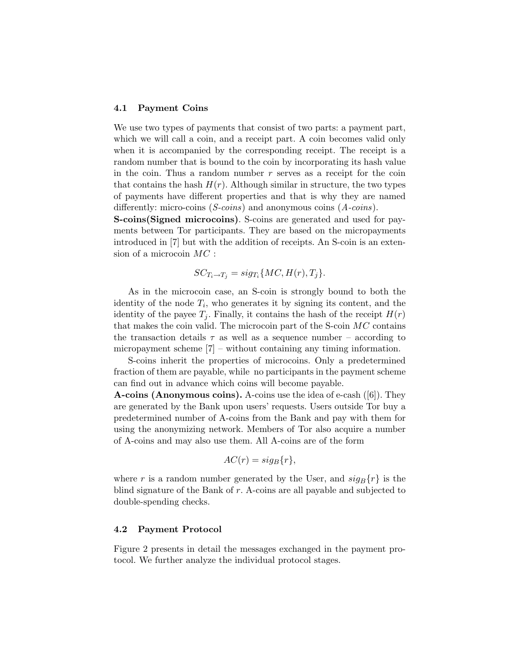#### 4.1 Payment Coins

We use two types of payments that consist of two parts: a payment part, which we will call a coin, and a receipt part. A coin becomes valid only when it is accompanied by the corresponding receipt. The receipt is a random number that is bound to the coin by incorporating its hash value in the coin. Thus a random number  $r$  serves as a receipt for the coin that contains the hash  $H(r)$ . Although similar in structure, the two types of payments have different properties and that is why they are named differently: micro-coins  $(S\text{-}cons)$  and anonymous coins  $(A\text{-}cons)$ .

S-coins(Signed microcoins). S-coins are generated and used for payments between Tor participants. They are based on the micropayments introduced in [7] but with the addition of receipts. An S-coin is an extension of a microcoin  $MC$ :

$$
SC_{T_i \to T_j} = sig_{T_i} \{MC, H(r), T_j\}.
$$

As in the microcoin case, an S-coin is strongly bound to both the identity of the node  $T_i$ , who generates it by signing its content, and the identity of the payee  $T_i$ . Finally, it contains the hash of the receipt  $H(r)$ that makes the coin valid. The microcoin part of the S-coin  $MC$  contains the transaction details  $\tau$  as well as a sequence number – according to micropayment scheme [7] – without containing any timing information.

S-coins inherit the properties of microcoins. Only a predetermined fraction of them are payable, while no participants in the payment scheme can find out in advance which coins will become payable.

A-coins (Anonymous coins). A-coins use the idea of e-cash ([6]). They are generated by the Bank upon users' requests. Users outside Tor buy a predetermined number of A-coins from the Bank and pay with them for using the anonymizing network. Members of Tor also acquire a number of A-coins and may also use them. All A-coins are of the form

$$
AC(r) = sig_B\{r\},\,
$$

where r is a random number generated by the User, and  $sig_B\{r\}$  is the blind signature of the Bank of r. A-coins are all payable and subjected to double-spending checks.

#### 4.2 Payment Protocol

Figure 2 presents in detail the messages exchanged in the payment protocol. We further analyze the individual protocol stages.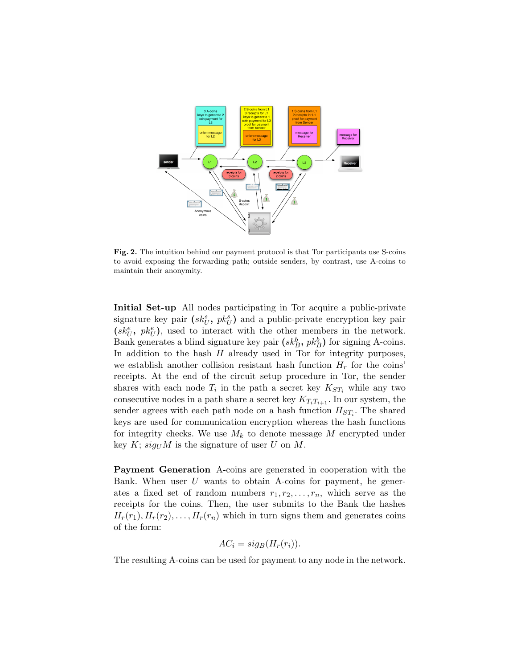

Fig. 2. The intuition behind our payment protocol is that Tor participants use S-coins to avoid exposing the forwarding path; outside senders, by contrast, use A-coins to maintain their anonymity.

Initial Set-up All nodes participating in Tor acquire a public-private signature key pair  $(s k_U^s, p k_U^s)$  and a public-private encryption key pair  $(s k_U^e, p k_U^e)$ , used to interact with the other members in the network. Bank generates a blind signature key pair  $(s k_B^b, p k_B^b)$  for signing A-coins. In addition to the hash  $H$  already used in Tor for integrity purposes, we establish another collision resistant hash function  $H_r$  for the coins' receipts. At the end of the circuit setup procedure in Tor, the sender shares with each node  $T_i$  in the path a secret key  $K_{ST_i}$  while any two consecutive nodes in a path share a secret key  $K_{T_i T_{i+1}}$ . In our system, the sender agrees with each path node on a hash function  $H_{ST_i}$ . The shared keys are used for communication encryption whereas the hash functions for integrity checks. We use  $M_k$  to denote message M encrypted under key K;  $sig<sub>U</sub>M$  is the signature of user U on M.

Payment Generation A-coins are generated in cooperation with the Bank. When user  $U$  wants to obtain A-coins for payment, he generates a fixed set of random numbers  $r_1, r_2, \ldots, r_n$ , which serve as the receipts for the coins. Then, the user submits to the Bank the hashes  $H_r(r_1), H_r(r_2), \ldots, H_r(r_n)$  which in turn signs them and generates coins of the form:

$$
AC_i = sig_B(H_r(r_i)).
$$

The resulting A-coins can be used for payment to any node in the network.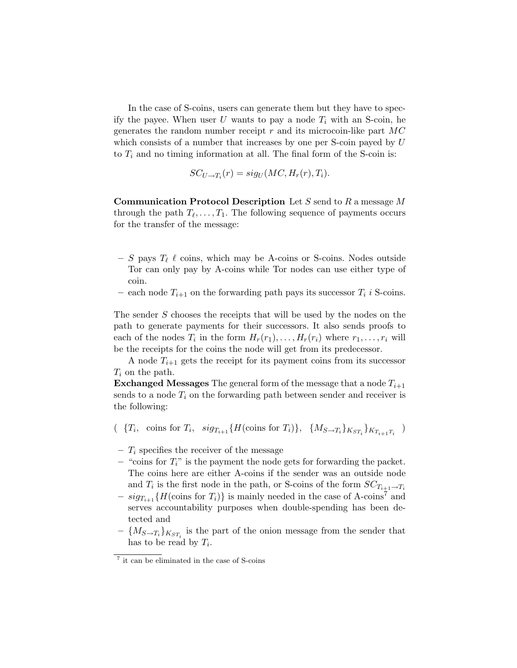In the case of S-coins, users can generate them but they have to specify the payee. When user U wants to pay a node  $T_i$  with an S-coin, he generates the random number receipt  $r$  and its microcoin-like part  $MC$ which consists of a number that increases by one per S-coin payed by  $U$ to  $T_i$  and no timing information at all. The final form of the S-coin is:

$$
SC_{U \to T_i}(r) = sig_U(MC, H_r(r), T_i).
$$

Communication Protocol Description Let S send to R a message M through the path  $T_\ell, \ldots, T_1$ . The following sequence of payments occurs for the transfer of the message:

- S pays  $T_\ell$   $\ell$  coins, which may be A-coins or S-coins. Nodes outside Tor can only pay by A-coins while Tor nodes can use either type of coin.
- each node  $T_{i+1}$  on the forwarding path pays its successor  $T_i$  i S-coins.

The sender S chooses the receipts that will be used by the nodes on the path to generate payments for their successors. It also sends proofs to each of the nodes  $T_i$  in the form  $H_r(r_1), \ldots, H_r(r_i)$  where  $r_1, \ldots, r_i$  will be the receipts for the coins the node will get from its predecessor.

A node  $T_{i+1}$  gets the receipt for its payment coins from its successor  $T_i$  on the path.

**Exchanged Messages** The general form of the message that a node  $T_{i+1}$ sends to a node  $T_i$  on the forwarding path between sender and receiver is the following:

 $(\{T_i, \text{ coins for } T_i, \text{ sig}_{T_{i+1}}\{H(\text{coins for } T_i)\}, \{M_{S\to T_i}\}_{K_{ST_i}}\}_{K_{T_{i+1}T_i}})$ 

- $T_i$  specifies the receiver of the message
- "coins for  $T_i$ " is the payment the node gets for forwarding the packet. The coins here are either A-coins if the sender was an outside node and  $T_i$  is the first node in the path, or S-coins of the form  $SC_{T_{i+1}\rightarrow T_i}$
- $sig_{T_{i+1}}\{H(\text{coins for }T_i)\}\$ is mainly needed in the case of A-coins<sup>7</sup> and serves accountability purposes when double-spending has been detected and
- $\{M_{S\rightarrow T_i}\}_{K_{ST_i}}$  is the part of the onion message from the sender that has to be read by  $T_i$ .

<sup>7</sup> it can be eliminated in the case of S-coins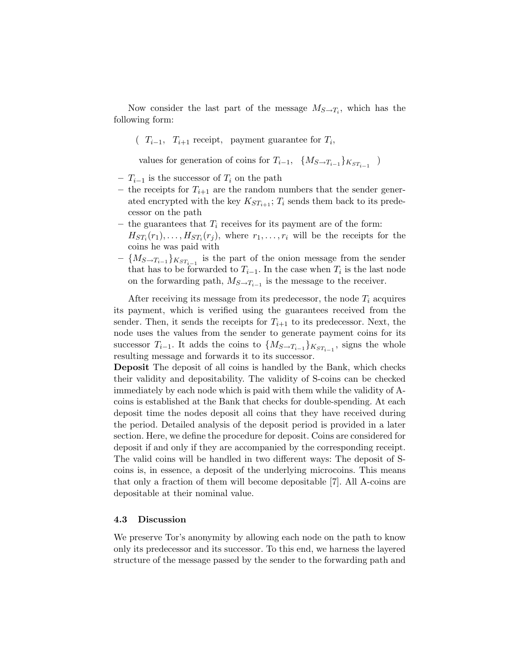Now consider the last part of the message  $M_{S\rightarrow T_i}$ , which has the following form:

 $(T_{i-1}, T_{i+1} \text{ receipt}, \text{payment guarantee for } T_i,$ 

values for generation of coins for  $T_{i-1}$ ,  ${M_{S\rightarrow T_{i-1}}}_{KST_{i-1}}$ 

- $-$  T<sub>i−1</sub> is the successor of T<sub>i</sub> on the path
- the receipts for  $T_{i+1}$  are the random numbers that the sender generated encrypted with the key  $K_{ST_{i+1}}$ ;  $T_i$  sends them back to its predecessor on the path
- the guarantees that  $T_i$  receives for its payment are of the form:  $H_{ST_i}(r_1), \ldots, H_{ST_i}(r_j)$ , where  $r_1, \ldots, r_i$  will be the receipts for the coins he was paid with
- $-$  { $M_{S\rightarrow T_{i-1}}$ } $_{KST_{i-1}}$  is the part of the onion message from the sender that has to be forwarded to  $T_{i-1}$ . In the case when  $T_i$  is the last node on the forwarding path,  $M_{S\rightarrow T_{i-1}}$  is the message to the receiver.

After receiving its message from its predecessor, the node  $T_i$  acquires its payment, which is verified using the guarantees received from the sender. Then, it sends the receipts for  $T_{i+1}$  to its predecessor. Next, the node uses the values from the sender to generate payment coins for its successor  $T_{i-1}$ . It adds the coins to  $\{M_{S\rightarrow T_{i-1}}\}_{K_{ST_{i-1}}}$ , signs the whole resulting message and forwards it to its successor.

Deposit The deposit of all coins is handled by the Bank, which checks their validity and depositability. The validity of S-coins can be checked immediately by each node which is paid with them while the validity of Acoins is established at the Bank that checks for double-spending. At each deposit time the nodes deposit all coins that they have received during the period. Detailed analysis of the deposit period is provided in a later section. Here, we define the procedure for deposit. Coins are considered for deposit if and only if they are accompanied by the corresponding receipt. The valid coins will be handled in two different ways: The deposit of Scoins is, in essence, a deposit of the underlying microcoins. This means that only a fraction of them will become depositable [7]. All A-coins are depositable at their nominal value.

# 4.3 Discussion

We preserve Tor's anonymity by allowing each node on the path to know only its predecessor and its successor. To this end, we harness the layered structure of the message passed by the sender to the forwarding path and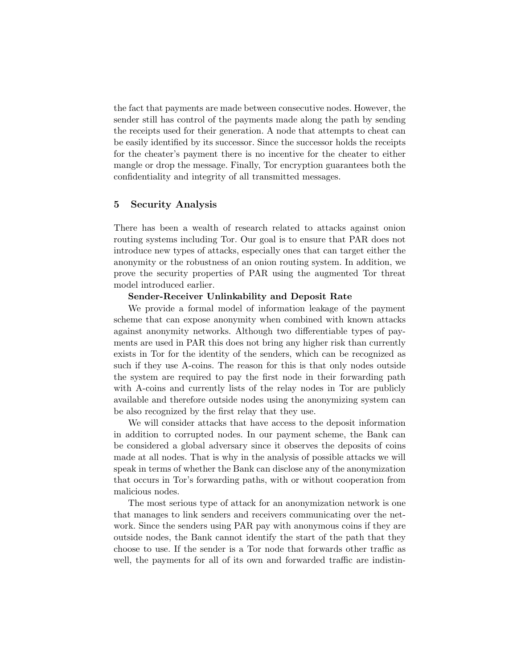the fact that payments are made between consecutive nodes. However, the sender still has control of the payments made along the path by sending the receipts used for their generation. A node that attempts to cheat can be easily identified by its successor. Since the successor holds the receipts for the cheater's payment there is no incentive for the cheater to either mangle or drop the message. Finally, Tor encryption guarantees both the confidentiality and integrity of all transmitted messages.

### 5 Security Analysis

There has been a wealth of research related to attacks against onion routing systems including Tor. Our goal is to ensure that PAR does not introduce new types of attacks, especially ones that can target either the anonymity or the robustness of an onion routing system. In addition, we prove the security properties of PAR using the augmented Tor threat model introduced earlier.

### Sender-Receiver Unlinkability and Deposit Rate

We provide a formal model of information leakage of the payment scheme that can expose anonymity when combined with known attacks against anonymity networks. Although two differentiable types of payments are used in PAR this does not bring any higher risk than currently exists in Tor for the identity of the senders, which can be recognized as such if they use A-coins. The reason for this is that only nodes outside the system are required to pay the first node in their forwarding path with A-coins and currently lists of the relay nodes in Tor are publicly available and therefore outside nodes using the anonymizing system can be also recognized by the first relay that they use.

We will consider attacks that have access to the deposit information in addition to corrupted nodes. In our payment scheme, the Bank can be considered a global adversary since it observes the deposits of coins made at all nodes. That is why in the analysis of possible attacks we will speak in terms of whether the Bank can disclose any of the anonymization that occurs in Tor's forwarding paths, with or without cooperation from malicious nodes.

The most serious type of attack for an anonymization network is one that manages to link senders and receivers communicating over the network. Since the senders using PAR pay with anonymous coins if they are outside nodes, the Bank cannot identify the start of the path that they choose to use. If the sender is a Tor node that forwards other traffic as well, the payments for all of its own and forwarded traffic are indistin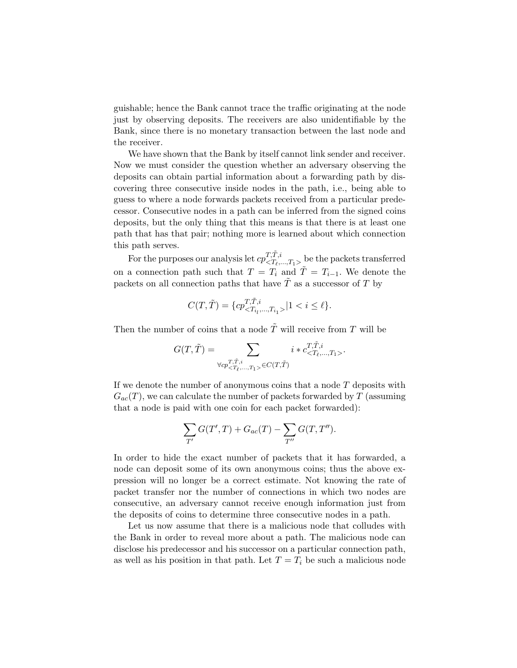guishable; hence the Bank cannot trace the traffic originating at the node just by observing deposits. The receivers are also unidentifiable by the Bank, since there is no monetary transaction between the last node and the receiver.

We have shown that the Bank by itself cannot link sender and receiver. Now we must consider the question whether an adversary observing the deposits can obtain partial information about a forwarding path by discovering three consecutive inside nodes in the path, i.e., being able to guess to where a node forwards packets received from a particular predecessor. Consecutive nodes in a path can be inferred from the signed coins deposits, but the only thing that this means is that there is at least one path that has that pair; nothing more is learned about which connection this path serves.

For the purposes our analysis let  $cp_{\leq T_n}^{T,\tilde{T},i}$  $\langle T_{\ell},...,T_{1} \rangle$  be the packets transferred on a connection path such that  $T = T_i$  and  $\tilde{T} = T_{i-1}$ . We denote the packets on all connection paths that have  $\tilde{T}$  as a successor of T by

$$
C(T,\tilde{T}) = \{cp_{}^{-T, \tilde{T}, i} | 1 < i \leq \ell\}.
$$

Then the number of coins that a node  $\tilde{T}$  will receive from T will be

$$
G(T,\tilde{T})=\sum_{\substack{\forall cp_{}^{T,\tilde{T},i} \in C(T,\tilde{T})}}i * c_{}^{T,\tilde{T},i}.
$$

If we denote the number of anonymous coins that a node  $T$  deposits with  $G_{ac}(T)$ , we can calculate the number of packets forwarded by T (assuming that a node is paid with one coin for each packet forwarded):

$$
\sum_{T'} G(T',T) + G_{ac}(T) - \sum_{T''} G(T,T'').
$$

In order to hide the exact number of packets that it has forwarded, a node can deposit some of its own anonymous coins; thus the above expression will no longer be a correct estimate. Not knowing the rate of packet transfer nor the number of connections in which two nodes are consecutive, an adversary cannot receive enough information just from the deposits of coins to determine three consecutive nodes in a path.

Let us now assume that there is a malicious node that colludes with the Bank in order to reveal more about a path. The malicious node can disclose his predecessor and his successor on a particular connection path, as well as his position in that path. Let  $T = T_i$  be such a malicious node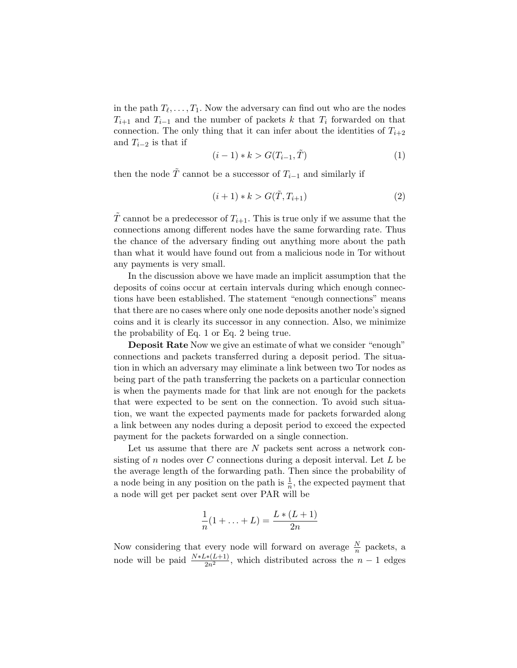in the path  $T_\ell, \ldots, T_1$ . Now the adversary can find out who are the nodes  $T_{i+1}$  and  $T_{i-1}$  and the number of packets k that  $T_i$  forwarded on that connection. The only thing that it can infer about the identities of  $T_{i+2}$ and  $T_{i-2}$  is that if

$$
(i-1) * k > G(T_{i-1}, \tilde{T})
$$
\n
$$
(1)
$$

then the node  $\tilde{T}$  cannot be a successor of  $T_{i-1}$  and similarly if

$$
(i+1)*k > G(\tilde{T}, T_{i+1})
$$
\n
$$
(2)
$$

 $\tilde{T}$  cannot be a predecessor of  $T_{i+1}$ . This is true only if we assume that the connections among different nodes have the same forwarding rate. Thus the chance of the adversary finding out anything more about the path than what it would have found out from a malicious node in Tor without any payments is very small.

In the discussion above we have made an implicit assumption that the deposits of coins occur at certain intervals during which enough connections have been established. The statement "enough connections" means that there are no cases where only one node deposits another node's signed coins and it is clearly its successor in any connection. Also, we minimize the probability of Eq. 1 or Eq. 2 being true.

Deposit Rate Now we give an estimate of what we consider "enough" connections and packets transferred during a deposit period. The situation in which an adversary may eliminate a link between two Tor nodes as being part of the path transferring the packets on a particular connection is when the payments made for that link are not enough for the packets that were expected to be sent on the connection. To avoid such situation, we want the expected payments made for packets forwarded along a link between any nodes during a deposit period to exceed the expected payment for the packets forwarded on a single connection.

Let us assume that there are N packets sent across a network consisting of n nodes over C connections during a deposit interval. Let  $L$  be the average length of the forwarding path. Then since the probability of a node being in any position on the path is  $\frac{1}{n}$ , the expected payment that a node will get per packet sent over PAR will be

$$
\frac{1}{n}(1+\ldots+L) = \frac{L*(L+1)}{2n}
$$

Now considering that every node will forward on average  $\frac{N}{n}$  packets, a node will be paid  $\frac{N*L*(L+1)}{2n^2}$ , which distributed across the  $n-1$  edges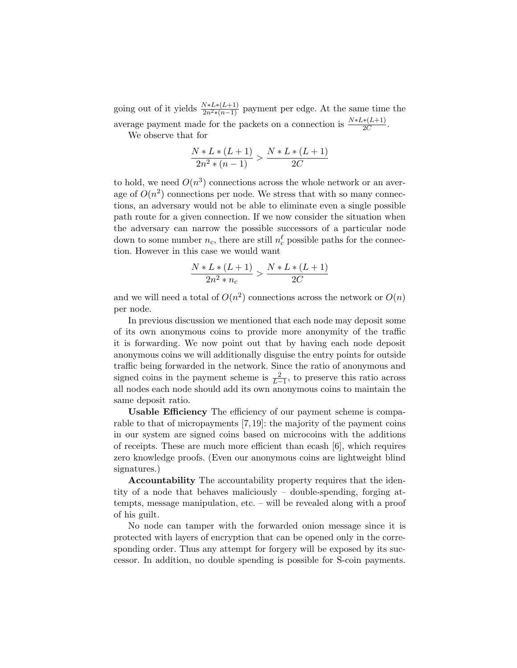going out of it yields  $\frac{N*L*(L+1)}{2n^2*(n-1)}$  payment per edge. At the same time the average payment made for the packets on a connection is  $\frac{N*L*(L+1)}{2C}$ .

We observe that for

$$
\frac{N * L * (L + 1)}{2n^2 * (n - 1)} > \frac{N * L * (L + 1)}{2C}
$$

to hold, we need  $O(n^3)$  connections across the whole network or an average of  $O(n^2)$  connections per node. We stress that with so many connections, an adversary would not be able to eliminate even a single possible path route for a given connection. If we now consider the situation when the adversary can narrow the possible successors of a particular node down to some number  $n_c$ , there are still  $n_c^{\ell}$  possible paths for the connection. However in this case we would want

$$
\frac{N * L * (L + 1)}{2n^2 * n_c} > \frac{N * L * (L + 1)}{2C}
$$

and we will need a total of  $O(n^2)$  connections across the network or  $O(n)$ per node.

In previous discussion we mentioned that each node may deposit some of its own anonymous coins to provide more anonymity of the traffic it is forwarding. We now point out that by having each node deposit anonymous coins we will additionally disguise the entry points for outside traffic being forwarded in the network. Since the ratio of anonymous and signed coins in the payment scheme is  $\frac{2}{L-1}$ , to preserve this ratio across all nodes each node should add its own anonymous coins to maintain the same deposit ratio.

Usable Efficiency The efficiency of our payment scheme is comparable to that of micropayments [7, 19]: the majority of the payment coins in our system are signed coins based on microcoins with the additions of receipts. These are much more efficient than ecash [6], which requires zero knowledge proofs. (Even our anonymous coins are lightweight blind signatures.)

Accountability The accountability property requires that the identity of a node that behaves maliciously – double-spending, forging attempts, message manipulation, etc. – will be revealed along with a proof of his guilt.

No node can tamper with the forwarded onion message since it is protected with layers of encryption that can be opened only in the corresponding order. Thus any attempt for forgery will be exposed by its successor. In addition, no double spending is possible for S-coin payments.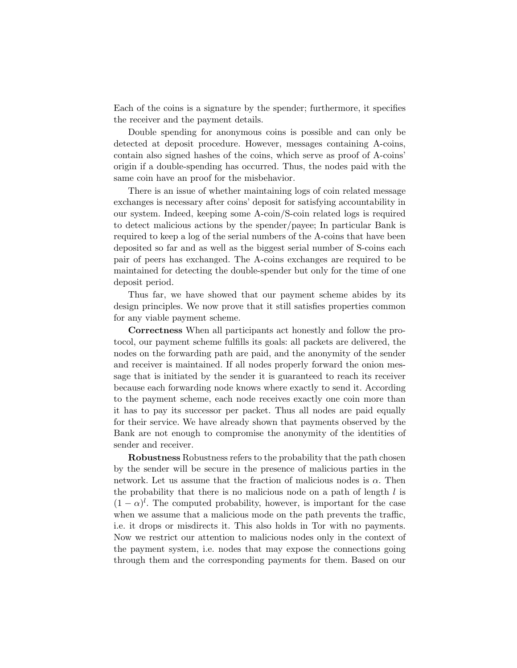Each of the coins is a signature by the spender; furthermore, it specifies the receiver and the payment details.

Double spending for anonymous coins is possible and can only be detected at deposit procedure. However, messages containing A-coins, contain also signed hashes of the coins, which serve as proof of A-coins' origin if a double-spending has occurred. Thus, the nodes paid with the same coin have an proof for the misbehavior.

There is an issue of whether maintaining logs of coin related message exchanges is necessary after coins' deposit for satisfying accountability in our system. Indeed, keeping some A-coin/S-coin related logs is required to detect malicious actions by the spender/payee; In particular Bank is required to keep a log of the serial numbers of the A-coins that have been deposited so far and as well as the biggest serial number of S-coins each pair of peers has exchanged. The A-coins exchanges are required to be maintained for detecting the double-spender but only for the time of one deposit period.

Thus far, we have showed that our payment scheme abides by its design principles. We now prove that it still satisfies properties common for any viable payment scheme.

Correctness When all participants act honestly and follow the protocol, our payment scheme fulfills its goals: all packets are delivered, the nodes on the forwarding path are paid, and the anonymity of the sender and receiver is maintained. If all nodes properly forward the onion message that is initiated by the sender it is guaranteed to reach its receiver because each forwarding node knows where exactly to send it. According to the payment scheme, each node receives exactly one coin more than it has to pay its successor per packet. Thus all nodes are paid equally for their service. We have already shown that payments observed by the Bank are not enough to compromise the anonymity of the identities of sender and receiver.

Robustness Robustness refers to the probability that the path chosen by the sender will be secure in the presence of malicious parties in the network. Let us assume that the fraction of malicious nodes is  $\alpha$ . Then the probability that there is no malicious node on a path of length  $l$  is  $(1 - \alpha)^l$ . The computed probability, however, is important for the case when we assume that a malicious mode on the path prevents the traffic, i.e. it drops or misdirects it. This also holds in Tor with no payments. Now we restrict our attention to malicious nodes only in the context of the payment system, i.e. nodes that may expose the connections going through them and the corresponding payments for them. Based on our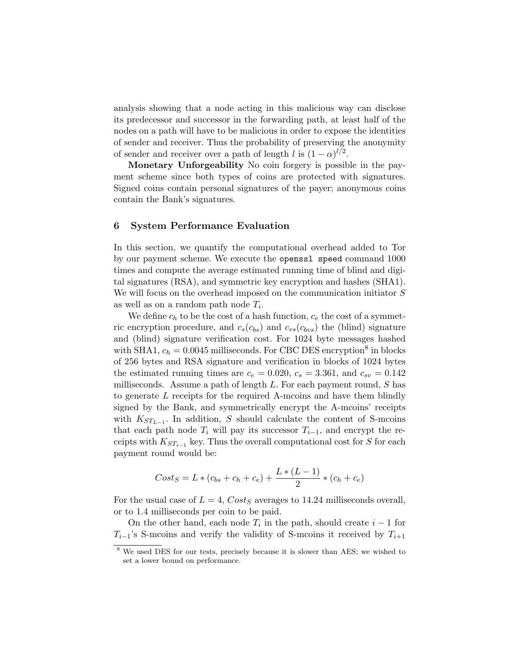analysis showing that a node acting in this malicious way can disclose its predecessor and successor in the forwarding path, at least half of the nodes on a path will have to be malicious in order to expose the identities of sender and receiver. Thus the probability of preserving the anonymity of sender and receiver over a path of length l is  $(1 - \alpha)^{l/2}$ .

Monetary Unforgeability No coin forgery is possible in the payment scheme since both types of coins are protected with signatures. Signed coins contain personal signatures of the payer; anonymous coins contain the Bank's signatures.

#### 6 System Performance Evaluation

In this section, we quantify the computational overhead added to Tor by our payment scheme. We execute the openssl speed command 1000 times and compute the average estimated running time of blind and digital signatures (RSA), and symmetric key encryption and hashes (SHA1). We will focus on the overhead imposed on the communication initiator S as well as on a random path node  $T_i$ .

We define  $c_h$  to be the cost of a hash function,  $c_e$  the cost of a symmetric encryption procedure, and  $c_s(c_{bs})$  and  $c_{vs}(c_{bvs})$  the (blind) signature and (blind) signature verification cost. For 1024 byte messages hashed with SHA1,  $c_h = 0.0045$  milliseconds. For CBC DES encryption<sup>8</sup> in blocks of 256 bytes and RSA signature and verification in blocks of 1024 bytes the estimated running times are  $c_e = 0.020$ ,  $c_s = 3.361$ , and  $c_{sv} = 0.142$ milliseconds. Assume a path of length  $L$ . For each payment round,  $S$  has to generate L receipts for the required A-mcoins and have them blindly signed by the Bank, and symmetrically encrypt the A-mcoins' receipts with  $K_{ST_{L-1}}$ . In addition, S should calculate the content of S-mcoins that each path node  $T_i$  will pay its successor  $T_{i-1}$ , and encrypt the receipts with  $K_{ST_{i-1}}$  key. Thus the overall computational cost for S for each payment round would be:

$$
Cost_S = L * (c_{bs} + c_h + c_e) + \frac{L * (L - 1)}{2} * (c_h + c_e)
$$

For the usual case of  $L = 4$ ,  $Cost_S$  averages to 14.24 milliseconds overall, or to 1.4 milliseconds per coin to be paid.

On the other hand, each node  $T_i$  in the path, should create  $i-1$  for  $T_{i-1}$ 's S-mcoins and verify the validity of S-mcoins it received by  $T_{i+1}$ 

<sup>8</sup> We used DES for our tests, precisely because it is slower than AES; we wished to set a lower bound on performance.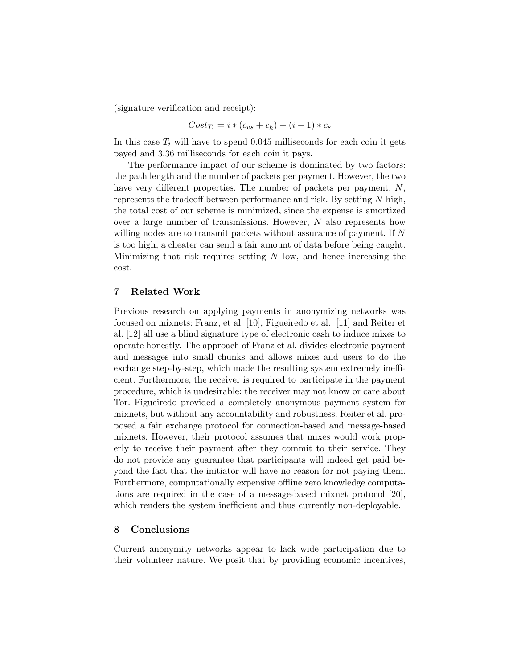(signature verification and receipt):

$$
Cost_{T_i} = i * (c_{vs} + c_h) + (i - 1) * c_s
$$

In this case  $T_i$  will have to spend 0.045 milliseconds for each coin it gets payed and 3.36 milliseconds for each coin it pays.

The performance impact of our scheme is dominated by two factors: the path length and the number of packets per payment. However, the two have very different properties. The number of packets per payment, N, represents the tradeoff between performance and risk. By setting N high, the total cost of our scheme is minimized, since the expense is amortized over a large number of transmissions. However, N also represents how willing nodes are to transmit packets without assurance of payment. If N is too high, a cheater can send a fair amount of data before being caught. Minimizing that risk requires setting  $N$  low, and hence increasing the cost.

# 7 Related Work

Previous research on applying payments in anonymizing networks was focused on mixnets: Franz, et al [10], Figueiredo et al. [11] and Reiter et al. [12] all use a blind signature type of electronic cash to induce mixes to operate honestly. The approach of Franz et al. divides electronic payment and messages into small chunks and allows mixes and users to do the exchange step-by-step, which made the resulting system extremely inefficient. Furthermore, the receiver is required to participate in the payment procedure, which is undesirable: the receiver may not know or care about Tor. Figueiredo provided a completely anonymous payment system for mixnets, but without any accountability and robustness. Reiter et al. proposed a fair exchange protocol for connection-based and message-based mixnets. However, their protocol assumes that mixes would work properly to receive their payment after they commit to their service. They do not provide any guarantee that participants will indeed get paid beyond the fact that the initiator will have no reason for not paying them. Furthermore, computationally expensive offline zero knowledge computations are required in the case of a message-based mixnet protocol [20], which renders the system inefficient and thus currently non-deployable.

### 8 Conclusions

Current anonymity networks appear to lack wide participation due to their volunteer nature. We posit that by providing economic incentives,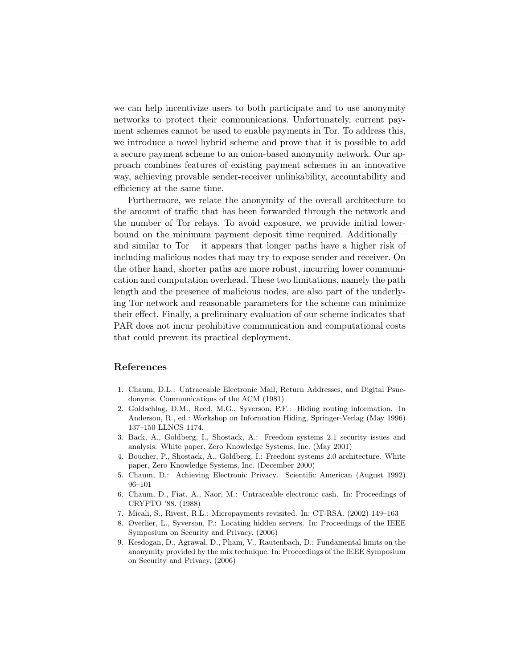we can help incentivize users to both participate and to use anonymity networks to protect their communications. Unfortunately, current payment schemes cannot be used to enable payments in Tor. To address this, we introduce a novel hybrid scheme and prove that it is possible to add a secure payment scheme to an onion-based anonymity network. Our approach combines features of existing payment schemes in an innovative way, achieving provable sender-receiver unlinkability, accountability and efficiency at the same time.

Furthermore, we relate the anonymity of the overall architecture to the amount of traffic that has been forwarded through the network and the number of Tor relays. To avoid exposure, we provide initial lowerbound on the minimum payment deposit time required. Additionally – and similar to  $Tor - it$  appears that longer paths have a higher risk of including malicious nodes that may try to expose sender and receiver. On the other hand, shorter paths are more robust, incurring lower communication and computation overhead. These two limitations, namely the path length and the presence of malicious nodes, are also part of the underlying Tor network and reasonable parameters for the scheme can minimize their effect. Finally, a preliminary evaluation of our scheme indicates that PAR does not incur prohibitive communication and computational costs that could prevent its practical deployment.

## References

- 1. Chaum, D.L.: Untraceable Electronic Mail, Return Addresses, and Digital Psuedonyms. Communications of the ACM (1981)
- 2. Goldschlag, D.M., Reed, M.G., Syverson, P.F.: Hiding routing information. In Anderson, R., ed.: Workshop on Information Hiding, Springer-Verlag (May 1996) 137–150 LLNCS 1174.
- 3. Back, A., Goldberg, I., Shostack, A.: Freedom systems 2.1 security issues and analysis. White paper, Zero Knowledge Systems, Inc. (May 2001)
- 4. Boucher, P., Shostack, A., Goldberg, I.: Freedom systems 2.0 architecture. White paper, Zero Knowledge Systems, Inc. (December 2000)
- 5. Chaum, D.: Achieving Electronic Privacy. Scientific American (August 1992) 96–101
- 6. Chaum, D., Fiat, A., Naor, M.: Untraceable electronic cash. In: Proceedings of CRYPTO '88. (1988)
- 7. Micali, S., Rivest, R.L.: Micropayments revisited. In: CT-RSA. (2002) 149–163
- 8. Øverlier, L., Syverson, P.: Locating hidden servers. In: Proceedings of the IEEE Symposium on Security and Privacy. (2006)
- 9. Kesdogan, D., Agrawal, D., Pham, V., Rautenbach, D.: Fundamental limits on the anonymity provided by the mix technique. In: Proceedings of the IEEE Symposium on Security and Privacy. (2006)